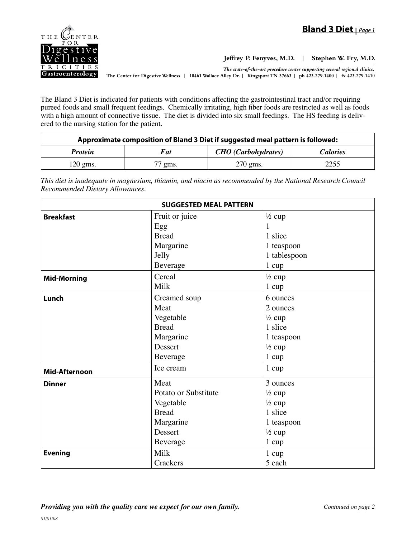

**Jeffrey P. Fenyves, M.D. | Stephen W. Fry, M.D.**

*The state-of-the-art procedure center supporting several regional clinics.*

**The Center for Digestive Wellness | 10461 Wallace Alley Dr. | Kingsport TN 37663 | ph 423.279.1400 | fx 423.279.1410**

The Bland 3 Diet is indicated for patients with conditions affecting the gastrointestinal tract and/or requiring pureed foods and small frequent feedings. Chemically irritating, high fiber foods are restricted as well as foods with a high amount of connective tissue. The diet is divided into six small feedings. The HS feeding is delivered to the nursing station for the patient.

| Approximate composition of Bland 3 Diet if suggested meal pattern is followed: |         |                            |                 |  |
|--------------------------------------------------------------------------------|---------|----------------------------|-----------------|--|
| <b>Protein</b>                                                                 | Fat     | <b>CHO</b> (Carbohydrates) | <i>Calories</i> |  |
| $120 \text{ gms}.$                                                             | 77 gms. | $270$ gms.                 | 2255            |  |

*This diet is inadequate in magnesium, thiamin, and niacin as recommended by the National Research Council Recommended Dietary Allowances.*

| <b>SUGGESTED MEAL PATTERN</b> |                      |                   |  |  |
|-------------------------------|----------------------|-------------------|--|--|
| <b>Breakfast</b>              | Fruit or juice       | $\frac{1}{2}$ cup |  |  |
|                               | Egg                  | $\mathbf{1}$      |  |  |
|                               | <b>Bread</b>         | 1 slice           |  |  |
|                               | Margarine            | 1 teaspoon        |  |  |
|                               | Jelly                | 1 tablespoon      |  |  |
|                               | Beverage             | $1 \text{ cup}$   |  |  |
| <b>Mid-Morning</b>            | Cereal               | $\frac{1}{2}$ cup |  |  |
|                               | Milk                 | 1 cup             |  |  |
| Lunch                         | Creamed soup         | 6 ounces          |  |  |
|                               | Meat                 | 2 ounces          |  |  |
|                               | Vegetable            | $\frac{1}{2}$ cup |  |  |
|                               | <b>Bread</b>         | 1 slice           |  |  |
|                               | Margarine            | 1 teaspoon        |  |  |
|                               | Dessert              | $\frac{1}{2}$ cup |  |  |
|                               | Beverage             | $1 \text{ cup}$   |  |  |
| <b>Mid-Afternoon</b>          | Ice cream            | 1 cup             |  |  |
| <b>Dinner</b>                 | Meat                 | 3 ounces          |  |  |
|                               | Potato or Substitute | $\frac{1}{2}$ cup |  |  |
|                               | Vegetable            | $\frac{1}{2}$ cup |  |  |
|                               | <b>Bread</b>         | 1 slice           |  |  |
|                               | Margarine            | 1 teaspoon        |  |  |
|                               | Dessert              | $\frac{1}{2}$ cup |  |  |
|                               | Beverage             | 1 cup             |  |  |
| <b>Evening</b>                | Milk                 | 1 cup             |  |  |
|                               | Crackers             | 5 each            |  |  |